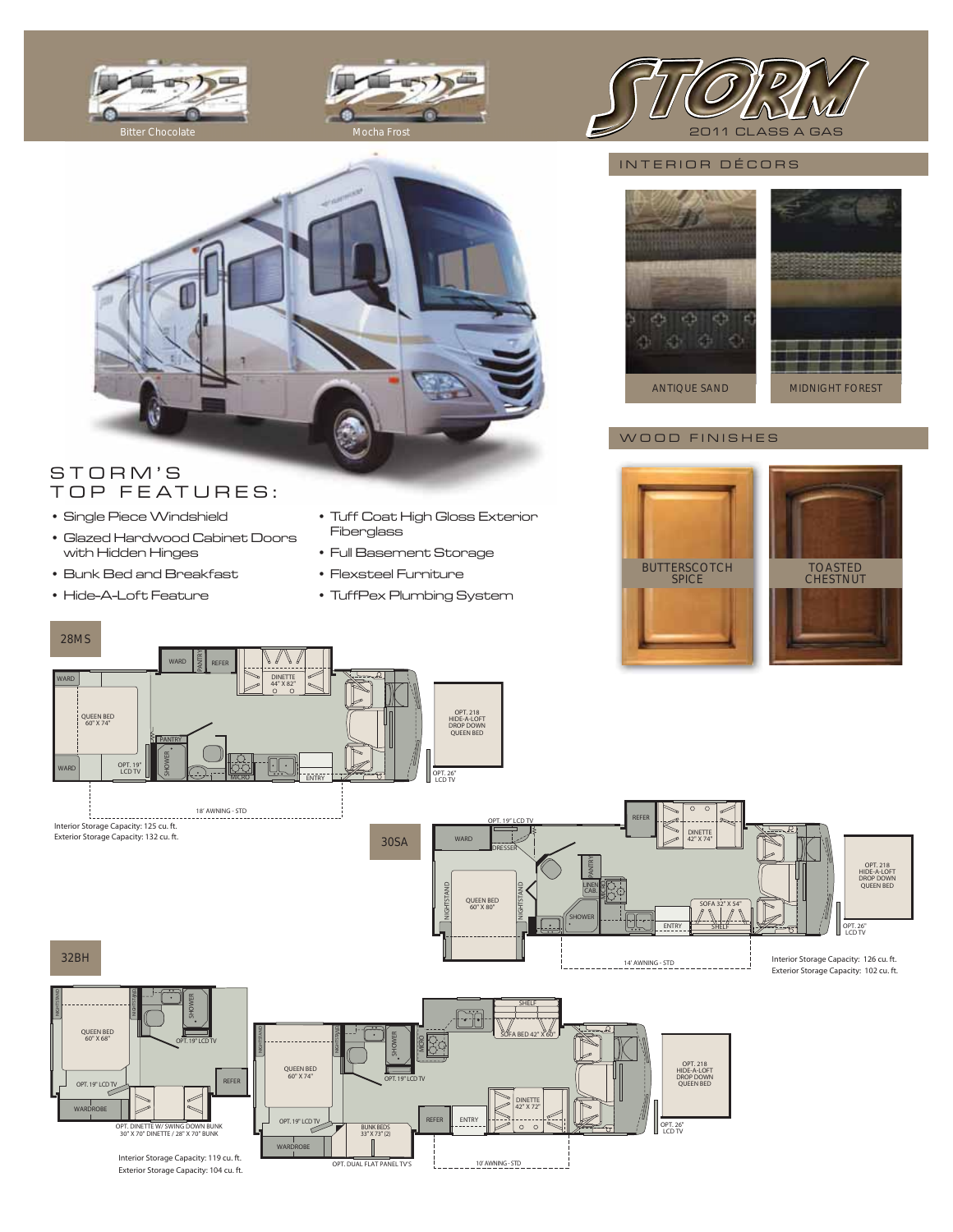





## INTERIOR DÉCORS



# STORM'S TOP FEATURES:

- Single Piece Windshield
- Glazed Hardwood Cabinet Doors with Hidden Hinges

Exterior Storage Capacity: 104 cu. ft.

- Bunk Bed and Breakfast
- Hide-A-Loft Feature

28MS

- Tuff Coat High Gloss Exterior Fiberglass
- Full Basement Storage
- Flexsteel Furniture
- TuffPex Plumbing System





Interior Storage Capacity: 126 cu. ft.

OPT. 26" LCD TV

OPT. 218 HIDE-A-LOFT DROP DOWN QUEEN BED

## WOOD FINISHES